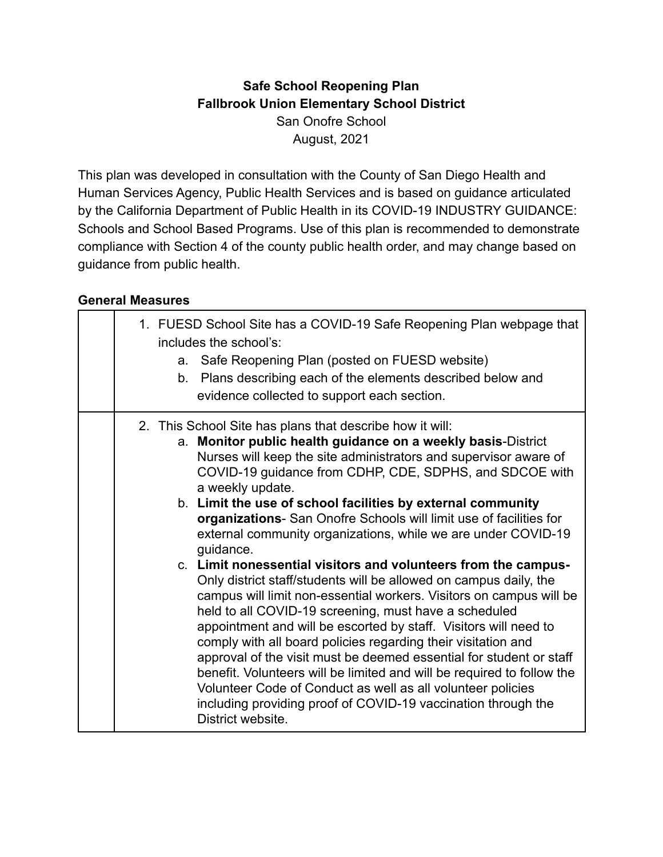## **Safe School Reopening Plan Fallbrook Union Elementary School District** San Onofre School August, 2021

This plan was developed in consultation with the County of San Diego Health and Human Services Agency, Public Health Services and is based on guidance articulated by the California Department of Public Health in its COVID-19 INDUSTRY GUIDANCE: Schools and School Based Programs. Use of this plan is recommended to demonstrate compliance with Section 4 of the county public health order, and may change based on guidance from public health.

#### **General Measures**

|  | 1. FUESD School Site has a COVID-19 Safe Reopening Plan webpage that<br>includes the school's:<br>a. Safe Reopening Plan (posted on FUESD website)<br>b. Plans describing each of the elements described below and<br>evidence collected to support each section.                                                                                                                                                                                                                                                                                                                                                                                                                                                                                                                                                                                                                                                                                                                                                                                                                                                                                                                                                |
|--|------------------------------------------------------------------------------------------------------------------------------------------------------------------------------------------------------------------------------------------------------------------------------------------------------------------------------------------------------------------------------------------------------------------------------------------------------------------------------------------------------------------------------------------------------------------------------------------------------------------------------------------------------------------------------------------------------------------------------------------------------------------------------------------------------------------------------------------------------------------------------------------------------------------------------------------------------------------------------------------------------------------------------------------------------------------------------------------------------------------------------------------------------------------------------------------------------------------|
|  | 2. This School Site has plans that describe how it will:<br>a. Monitor public health guidance on a weekly basis-District<br>Nurses will keep the site administrators and supervisor aware of<br>COVID-19 guidance from CDHP, CDE, SDPHS, and SDCOE with<br>a weekly update.<br>b. Limit the use of school facilities by external community<br>organizations- San Onofre Schools will limit use of facilities for<br>external community organizations, while we are under COVID-19<br>guidance.<br>c. Limit nonessential visitors and volunteers from the campus-<br>Only district staff/students will be allowed on campus daily, the<br>campus will limit non-essential workers. Visitors on campus will be<br>held to all COVID-19 screening, must have a scheduled<br>appointment and will be escorted by staff. Visitors will need to<br>comply with all board policies regarding their visitation and<br>approval of the visit must be deemed essential for student or staff<br>benefit. Volunteers will be limited and will be required to follow the<br>Volunteer Code of Conduct as well as all volunteer policies<br>including providing proof of COVID-19 vaccination through the<br>District website. |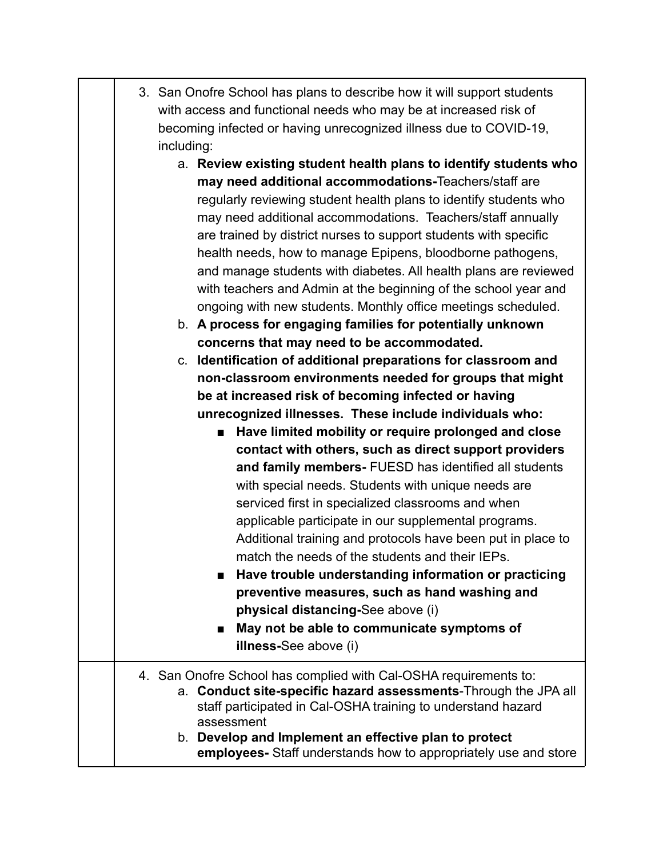| 3. San Onofre School has plans to describe how it will support students |
|-------------------------------------------------------------------------|
| with access and functional needs who may be at increased risk of        |
| becoming infected or having unrecognized illness due to COVID-19,       |
| including:                                                              |

- a. **Review existing student health plans to identify students who may need additional accommodations-**Teachers/staff are regularly reviewing student health plans to identify students who may need additional accommodations. Teachers/staff annually are trained by district nurses to support students with specific health needs, how to manage Epipens, bloodborne pathogens, and manage students with diabetes. All health plans are reviewed with teachers and Admin at the beginning of the school year and ongoing with new students. Monthly office meetings scheduled.
- b. **A process for engaging families for potentially unknown concerns that may need to be accommodated.**

c. **Identification of additional preparations for classroom and non-classroom environments needed for groups that might be at increased risk of becoming infected or having unrecognized illnesses. These include individuals who:**

> ■ **Have limited mobility or require prolonged and close contact with others, such as direct support providers and family members-** FUESD has identified all students with special needs. Students with unique needs are serviced first in specialized classrooms and when applicable participate in our supplemental programs. Additional training and protocols have been put in place to match the needs of the students and their IEPs.

> **■ Have trouble understanding information or practicing preventive measures, such as hand washing and physical distancing-**See above (i)

■ May not be able to communicate symptoms of **illness-**See above (i)

#### 4. San Onofre School has complied with Cal-OSHA requirements to: a. **Conduct site-specific hazard assessments**-Through the JPA all staff participated in Cal-OSHA training to understand hazard assessment b. **Develop and Implement an effective plan to protect employees-** Staff understands how to appropriately use and store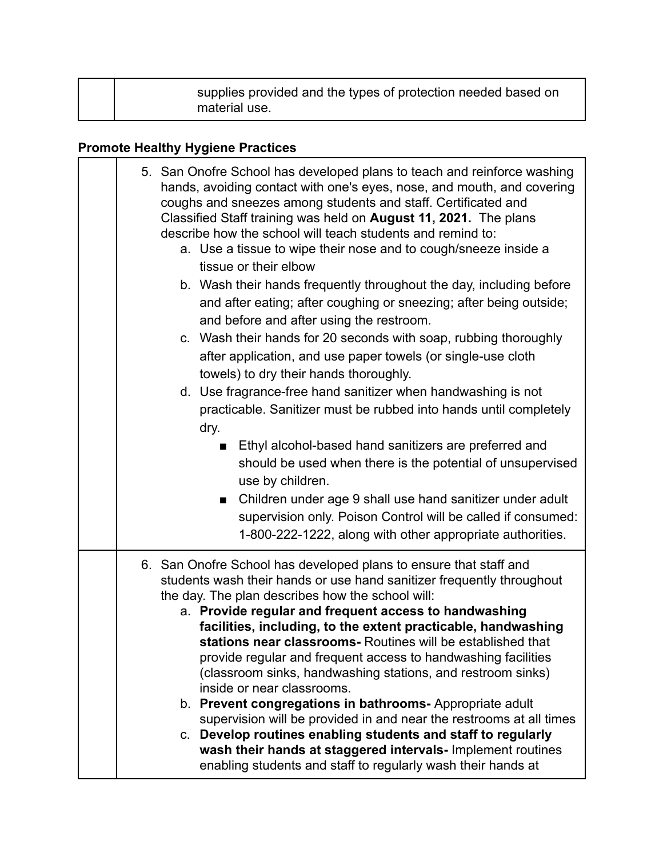| supplies provided and the types of protection needed based on<br>material use. |  |
|--------------------------------------------------------------------------------|--|
|--------------------------------------------------------------------------------|--|

# **Promote Healthy Hygiene Practices**

| 5. San Onofre School has developed plans to teach and reinforce washing<br>hands, avoiding contact with one's eyes, nose, and mouth, and covering<br>coughs and sneezes among students and staff. Certificated and<br>Classified Staff training was held on August 11, 2021. The plans<br>describe how the school will teach students and remind to:<br>a. Use a tissue to wipe their nose and to cough/sneeze inside a<br>tissue or their elbow<br>b. Wash their hands frequently throughout the day, including before<br>and after eating; after coughing or sneezing; after being outside;<br>and before and after using the restroom.<br>c. Wash their hands for 20 seconds with soap, rubbing thoroughly<br>after application, and use paper towels (or single-use cloth<br>towels) to dry their hands thoroughly.<br>d. Use fragrance-free hand sanitizer when handwashing is not<br>practicable. Sanitizer must be rubbed into hands until completely<br>dry.<br>Ethyl alcohol-based hand sanitizers are preferred and<br>should be used when there is the potential of unsupervised<br>use by children.<br>Children under age 9 shall use hand sanitizer under adult<br>$\blacksquare$ |
|------------------------------------------------------------------------------------------------------------------------------------------------------------------------------------------------------------------------------------------------------------------------------------------------------------------------------------------------------------------------------------------------------------------------------------------------------------------------------------------------------------------------------------------------------------------------------------------------------------------------------------------------------------------------------------------------------------------------------------------------------------------------------------------------------------------------------------------------------------------------------------------------------------------------------------------------------------------------------------------------------------------------------------------------------------------------------------------------------------------------------------------------------------------------------------------------|
| supervision only. Poison Control will be called if consumed:<br>1-800-222-1222, along with other appropriate authorities.                                                                                                                                                                                                                                                                                                                                                                                                                                                                                                                                                                                                                                                                                                                                                                                                                                                                                                                                                                                                                                                                      |
| 6. San Onofre School has developed plans to ensure that staff and<br>students wash their hands or use hand sanitizer frequently throughout<br>the day. The plan describes how the school will:<br>a. Provide regular and frequent access to handwashing<br>facilities, including, to the extent practicable, handwashing<br>stations near classrooms- Routines will be established that<br>provide regular and frequent access to handwashing facilities<br>(classroom sinks, handwashing stations, and restroom sinks)<br>inside or near classrooms.<br>b. Prevent congregations in bathrooms- Appropriate adult<br>supervision will be provided in and near the restrooms at all times<br>c. Develop routines enabling students and staff to regularly<br>wash their hands at staggered intervals- Implement routines<br>enabling students and staff to regularly wash their hands at                                                                                                                                                                                                                                                                                                        |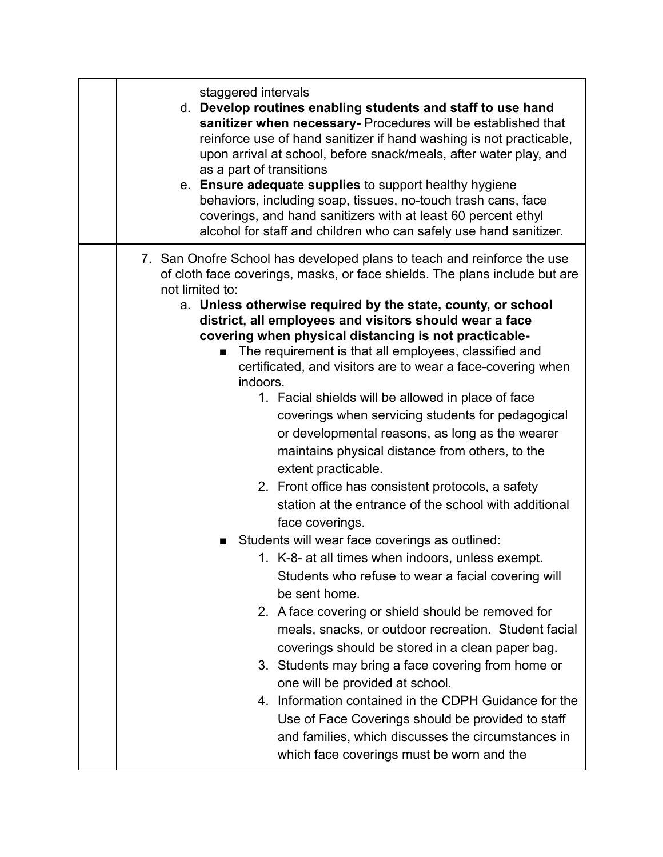| staggered intervals<br>d. Develop routines enabling students and staff to use hand<br>sanitizer when necessary- Procedures will be established that<br>reinforce use of hand sanitizer if hand washing is not practicable,<br>upon arrival at school, before snack/meals, after water play, and<br>as a part of transitions<br>e. Ensure adequate supplies to support healthy hygiene<br>behaviors, including soap, tissues, no-touch trash cans, face<br>coverings, and hand sanitizers with at least 60 percent ethyl<br>alcohol for staff and children who can safely use hand sanitizer.                                                                                                                                                                                                                                                                                                                                                                                                                                                                                                                                                                                                                                                                                                                                                                                                                                                                                                                                         |
|--------------------------------------------------------------------------------------------------------------------------------------------------------------------------------------------------------------------------------------------------------------------------------------------------------------------------------------------------------------------------------------------------------------------------------------------------------------------------------------------------------------------------------------------------------------------------------------------------------------------------------------------------------------------------------------------------------------------------------------------------------------------------------------------------------------------------------------------------------------------------------------------------------------------------------------------------------------------------------------------------------------------------------------------------------------------------------------------------------------------------------------------------------------------------------------------------------------------------------------------------------------------------------------------------------------------------------------------------------------------------------------------------------------------------------------------------------------------------------------------------------------------------------------|
| 7. San Onofre School has developed plans to teach and reinforce the use<br>of cloth face coverings, masks, or face shields. The plans include but are<br>not limited to:<br>a. Unless otherwise required by the state, county, or school<br>district, all employees and visitors should wear a face<br>covering when physical distancing is not practicable-<br>The requirement is that all employees, classified and<br>certificated, and visitors are to wear a face-covering when<br>indoors.<br>1. Facial shields will be allowed in place of face<br>coverings when servicing students for pedagogical<br>or developmental reasons, as long as the wearer<br>maintains physical distance from others, to the<br>extent practicable.<br>2. Front office has consistent protocols, a safety<br>station at the entrance of the school with additional<br>face coverings.<br>Students will wear face coverings as outlined:<br>1. K-8- at all times when indoors, unless exempt.<br>Students who refuse to wear a facial covering will<br>be sent home.<br>2. A face covering or shield should be removed for<br>meals, snacks, or outdoor recreation. Student facial<br>coverings should be stored in a clean paper bag.<br>3. Students may bring a face covering from home or<br>one will be provided at school.<br>4. Information contained in the CDPH Guidance for the<br>Use of Face Coverings should be provided to staff<br>and families, which discusses the circumstances in<br>which face coverings must be worn and the |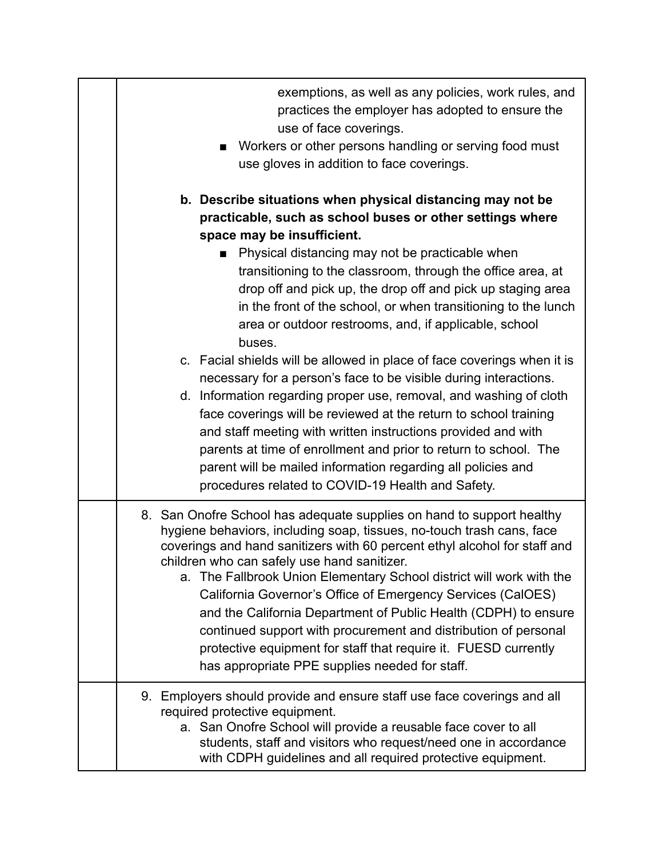| exemptions, as well as any policies, work rules, and<br>practices the employer has adopted to ensure the<br>use of face coverings.<br>■ Workers or other persons handling or serving food must<br>use gloves in addition to face coverings.                                                                                                                                                                                                                                                                                                                                                                                                                                                                                                                                                                                                                                                                                                                               |
|---------------------------------------------------------------------------------------------------------------------------------------------------------------------------------------------------------------------------------------------------------------------------------------------------------------------------------------------------------------------------------------------------------------------------------------------------------------------------------------------------------------------------------------------------------------------------------------------------------------------------------------------------------------------------------------------------------------------------------------------------------------------------------------------------------------------------------------------------------------------------------------------------------------------------------------------------------------------------|
| b. Describe situations when physical distancing may not be<br>practicable, such as school buses or other settings where<br>space may be insufficient.<br>Physical distancing may not be practicable when<br>transitioning to the classroom, through the office area, at<br>drop off and pick up, the drop off and pick up staging area<br>in the front of the school, or when transitioning to the lunch<br>area or outdoor restrooms, and, if applicable, school<br>buses.<br>c. Facial shields will be allowed in place of face coverings when it is<br>necessary for a person's face to be visible during interactions.<br>d. Information regarding proper use, removal, and washing of cloth<br>face coverings will be reviewed at the return to school training<br>and staff meeting with written instructions provided and with<br>parents at time of enrollment and prior to return to school. The<br>parent will be mailed information regarding all policies and |
| procedures related to COVID-19 Health and Safety.<br>8. San Onofre School has adequate supplies on hand to support healthy<br>hygiene behaviors, including soap, tissues, no-touch trash cans, face<br>coverings and hand sanitizers with 60 percent ethyl alcohol for staff and<br>children who can safely use hand sanitizer.<br>a. The Fallbrook Union Elementary School district will work with the<br>California Governor's Office of Emergency Services (CalOES)<br>and the California Department of Public Health (CDPH) to ensure<br>continued support with procurement and distribution of personal<br>protective equipment for staff that require it. FUESD currently<br>has appropriate PPE supplies needed for staff.                                                                                                                                                                                                                                         |
| 9. Employers should provide and ensure staff use face coverings and all<br>required protective equipment.<br>a. San Onofre School will provide a reusable face cover to all<br>students, staff and visitors who request/need one in accordance<br>with CDPH guidelines and all required protective equipment.                                                                                                                                                                                                                                                                                                                                                                                                                                                                                                                                                                                                                                                             |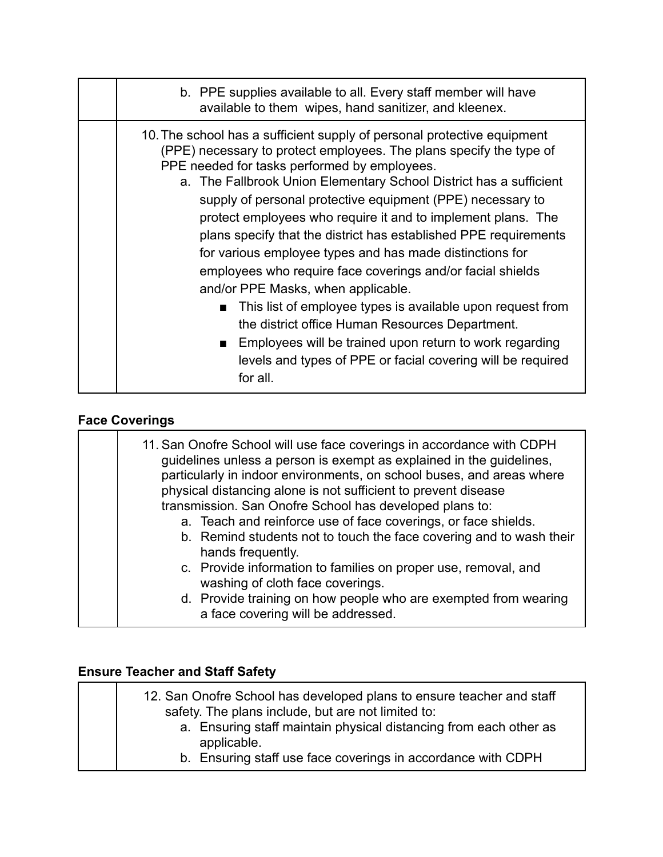| b. PPE supplies available to all. Every staff member will have<br>available to them wipes, hand sanitizer, and kleenex.                                                                                                                                                                                                                                                                                                                                                                                                                                                                                                                                                                                                                                                                                                                                                                                                         |
|---------------------------------------------------------------------------------------------------------------------------------------------------------------------------------------------------------------------------------------------------------------------------------------------------------------------------------------------------------------------------------------------------------------------------------------------------------------------------------------------------------------------------------------------------------------------------------------------------------------------------------------------------------------------------------------------------------------------------------------------------------------------------------------------------------------------------------------------------------------------------------------------------------------------------------|
| 10. The school has a sufficient supply of personal protective equipment<br>(PPE) necessary to protect employees. The plans specify the type of<br>PPE needed for tasks performed by employees.<br>a. The Fallbrook Union Elementary School District has a sufficient<br>supply of personal protective equipment (PPE) necessary to<br>protect employees who require it and to implement plans. The<br>plans specify that the district has established PPE requirements<br>for various employee types and has made distinctions for<br>employees who require face coverings and/or facial shields<br>and/or PPE Masks, when applicable.<br>This list of employee types is available upon request from<br>$\mathbf{r}$<br>the district office Human Resources Department.<br>Employees will be trained upon return to work regarding<br>$\blacksquare$<br>levels and types of PPE or facial covering will be required<br>for all. |

## **Face Coverings**

| 11. San Onofre School will use face coverings in accordance with CDPH<br>guidelines unless a person is exempt as explained in the guidelines,<br>particularly in indoor environments, on school buses, and areas where<br>physical distancing alone is not sufficient to prevent disease<br>transmission. San Onofre School has developed plans to:<br>a. Teach and reinforce use of face coverings, or face shields.<br>b. Remind students not to touch the face covering and to wash their |
|----------------------------------------------------------------------------------------------------------------------------------------------------------------------------------------------------------------------------------------------------------------------------------------------------------------------------------------------------------------------------------------------------------------------------------------------------------------------------------------------|
| hands frequently.                                                                                                                                                                                                                                                                                                                                                                                                                                                                            |
| c. Provide information to families on proper use, removal, and<br>washing of cloth face coverings.                                                                                                                                                                                                                                                                                                                                                                                           |
| d. Provide training on how people who are exempted from wearing<br>a face covering will be addressed.                                                                                                                                                                                                                                                                                                                                                                                        |

# **Ensure Teacher and Staff Safety**

| 12. San Onofre School has developed plans to ensure teacher and staff |
|-----------------------------------------------------------------------|
| safety. The plans include, but are not limited to:                    |
| a. Ensuring staff maintain physical distancing from each other as     |
| applicable.                                                           |
| b. Ensuring staff use face coverings in accordance with CDPH          |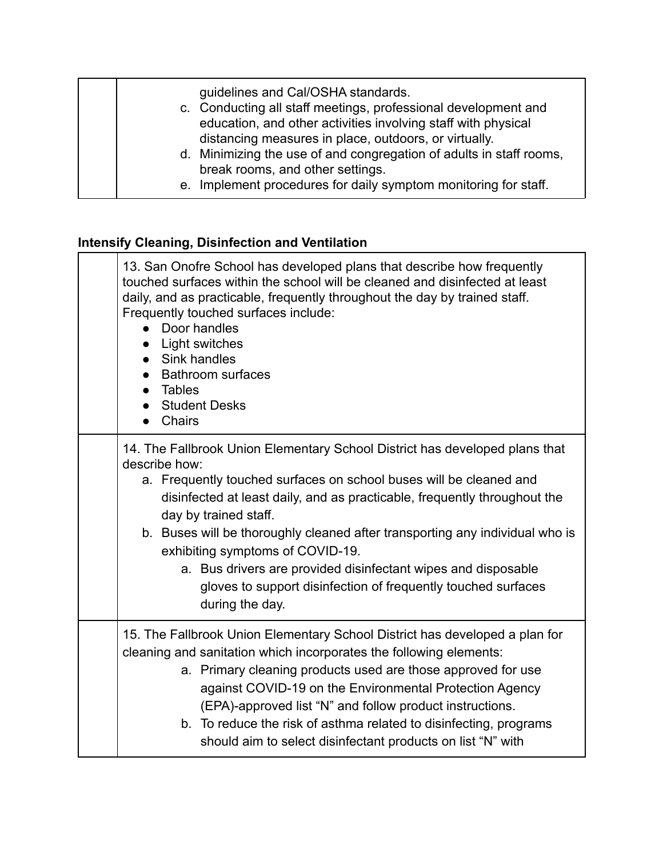guidelines and Cal/OSHA standards. c. Conducting all staff meetings, professional development and education, and other activities involving staff with physical distancing measures in place, outdoors, or virtually. d. Minimizing the use of and congregation of adults in staff rooms, break rooms, and other settings. e. Implement procedures for daily symptom monitoring for staff.

#### **Intensify Cleaning, Disinfection and Ventilation**

| 13. San Onofre School has developed plans that describe how frequently<br>touched surfaces within the school will be cleaned and disinfected at least<br>daily, and as practicable, frequently throughout the day by trained staff.<br>Frequently touched surfaces include:<br>Door handles<br>Light switches<br>Sink handles<br><b>Bathroom surfaces</b><br>Tables<br><b>Student Desks</b><br>Chairs                                                                                                                                             |
|---------------------------------------------------------------------------------------------------------------------------------------------------------------------------------------------------------------------------------------------------------------------------------------------------------------------------------------------------------------------------------------------------------------------------------------------------------------------------------------------------------------------------------------------------|
| 14. The Fallbrook Union Elementary School District has developed plans that<br>describe how:<br>a. Frequently touched surfaces on school buses will be cleaned and<br>disinfected at least daily, and as practicable, frequently throughout the<br>day by trained staff.<br>b. Buses will be thoroughly cleaned after transporting any individual who is<br>exhibiting symptoms of COVID-19.<br>a. Bus drivers are provided disinfectant wipes and disposable<br>gloves to support disinfection of frequently touched surfaces<br>during the day. |
| 15. The Fallbrook Union Elementary School District has developed a plan for<br>cleaning and sanitation which incorporates the following elements:<br>a. Primary cleaning products used are those approved for use<br>against COVID-19 on the Environmental Protection Agency<br>(EPA)-approved list "N" and follow product instructions.<br>b. To reduce the risk of asthma related to disinfecting, programs<br>should aim to select disinfectant products on list "N" with                                                                      |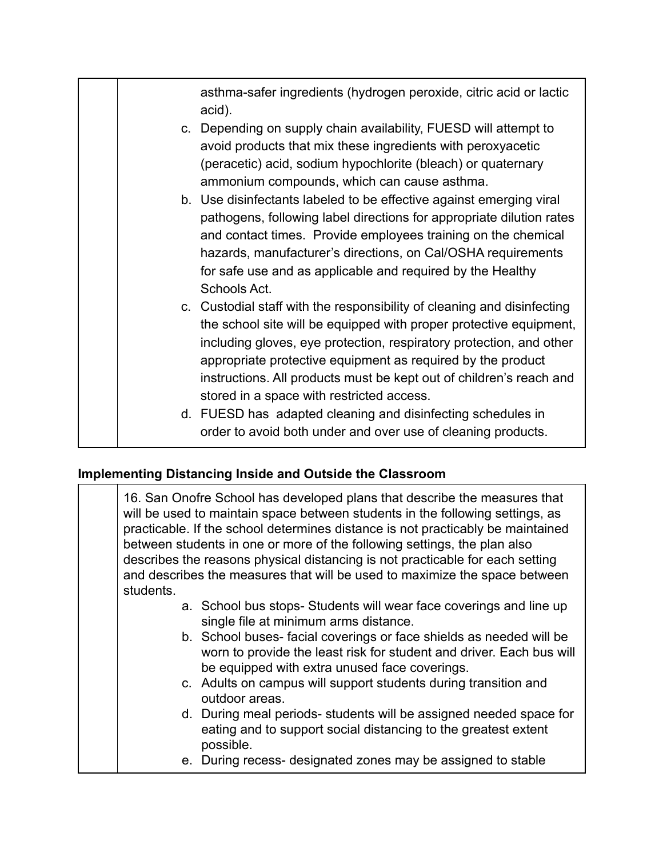asthma-safer ingredients (hydrogen peroxide, citric acid or lactic acid).

- c. Depending on supply chain availability, FUESD will attempt to avoid products that mix these ingredients with peroxyacetic (peracetic) acid, sodium hypochlorite (bleach) or quaternary ammonium compounds, which can cause asthma.
- b. Use disinfectants labeled to be effective against emerging viral pathogens, following label directions for appropriate dilution rates and contact times. Provide employees training on the chemical hazards, manufacturer's directions, on Cal/OSHA requirements for safe use and as applicable and required by the Healthy Schools Act.
- c. Custodial staff with the responsibility of cleaning and disinfecting the school site will be equipped with proper protective equipment, including gloves, eye protection, respiratory protection, and other appropriate protective equipment as required by the product instructions. All products must be kept out of children's reach and stored in a space with restricted access.
- d. FUESD has adapted cleaning and disinfecting schedules in order to avoid both under and over use of cleaning products.

### **Implementing Distancing Inside and Outside the Classroom**

| 16. San Onofre School has developed plans that describe the measures that<br>will be used to maintain space between students in the following settings, as<br>practicable. If the school determines distance is not practicably be maintained<br>between students in one or more of the following settings, the plan also<br>describes the reasons physical distancing is not practicable for each setting<br>and describes the measures that will be used to maximize the space between<br>students. |
|-------------------------------------------------------------------------------------------------------------------------------------------------------------------------------------------------------------------------------------------------------------------------------------------------------------------------------------------------------------------------------------------------------------------------------------------------------------------------------------------------------|
| a. School bus stops-Students will wear face coverings and line up<br>single file at minimum arms distance.<br>b. School buses-facial coverings or face shields as needed will be                                                                                                                                                                                                                                                                                                                      |
| worn to provide the least risk for student and driver. Each bus will<br>be equipped with extra unused face coverings.<br>c. Adults on campus will support students during transition and                                                                                                                                                                                                                                                                                                              |
| outdoor areas.<br>d. During meal periods-students will be assigned needed space for<br>eating and to support social distancing to the greatest extent<br>possible.                                                                                                                                                                                                                                                                                                                                    |
| e. During recess- designated zones may be assigned to stable                                                                                                                                                                                                                                                                                                                                                                                                                                          |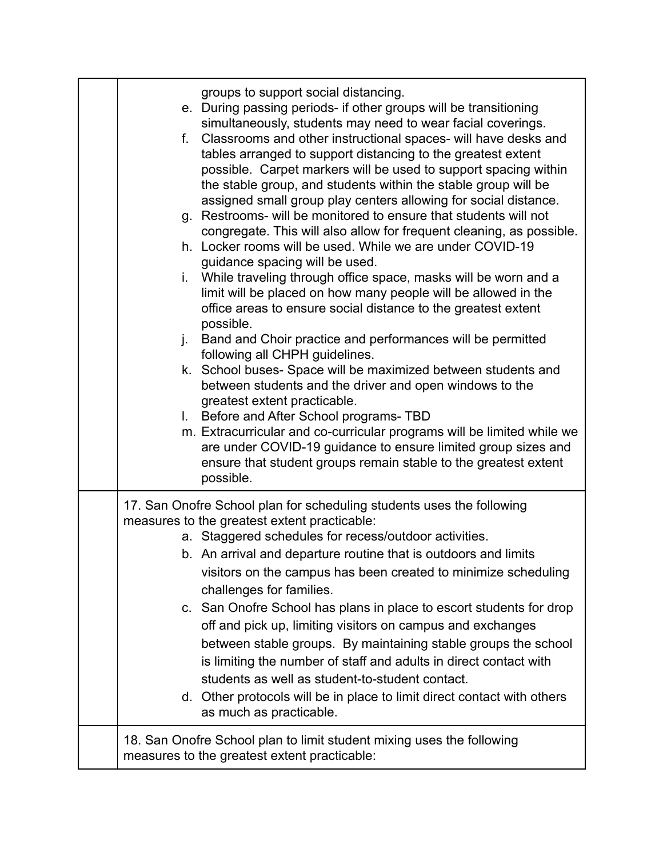| groups to support social distancing.<br>e. During passing periods- if other groups will be transitioning<br>simultaneously, students may need to wear facial coverings.<br>f. Classrooms and other instructional spaces- will have desks and<br>tables arranged to support distancing to the greatest extent<br>possible. Carpet markers will be used to support spacing within<br>the stable group, and students within the stable group will be<br>assigned small group play centers allowing for social distance.<br>g. Restrooms- will be monitored to ensure that students will not<br>congregate. This will also allow for frequent cleaning, as possible.<br>h. Locker rooms will be used. While we are under COVID-19<br>guidance spacing will be used.<br>i. While traveling through office space, masks will be worn and a<br>limit will be placed on how many people will be allowed in the<br>office areas to ensure social distance to the greatest extent<br>possible.<br>j. Band and Choir practice and performances will be permitted<br>following all CHPH guidelines.<br>k. School buses- Space will be maximized between students and<br>between students and the driver and open windows to the<br>greatest extent practicable.<br>I. Before and After School programs- TBD<br>m. Extracurricular and co-curricular programs will be limited while we<br>are under COVID-19 guidance to ensure limited group sizes and<br>ensure that student groups remain stable to the greatest extent<br>possible. |
|----------------------------------------------------------------------------------------------------------------------------------------------------------------------------------------------------------------------------------------------------------------------------------------------------------------------------------------------------------------------------------------------------------------------------------------------------------------------------------------------------------------------------------------------------------------------------------------------------------------------------------------------------------------------------------------------------------------------------------------------------------------------------------------------------------------------------------------------------------------------------------------------------------------------------------------------------------------------------------------------------------------------------------------------------------------------------------------------------------------------------------------------------------------------------------------------------------------------------------------------------------------------------------------------------------------------------------------------------------------------------------------------------------------------------------------------------------------------------------------------------------------------------|
| 17. San Onofre School plan for scheduling students uses the following<br>measures to the greatest extent practicable:<br>a. Staggered schedules for recess/outdoor activities.<br>b. An arrival and departure routine that is outdoors and limits<br>visitors on the campus has been created to minimize scheduling<br>challenges for families.<br>c. San Onofre School has plans in place to escort students for drop<br>off and pick up, limiting visitors on campus and exchanges<br>between stable groups. By maintaining stable groups the school<br>is limiting the number of staff and adults in direct contact with<br>students as well as student-to-student contact.<br>d. Other protocols will be in place to limit direct contact with others<br>as much as practicable.                                                                                                                                                                                                                                                                                                                                                                                                                                                                                                                                                                                                                                                                                                                                       |
| 18. San Onofre School plan to limit student mixing uses the following<br>measures to the greatest extent practicable:                                                                                                                                                                                                                                                                                                                                                                                                                                                                                                                                                                                                                                                                                                                                                                                                                                                                                                                                                                                                                                                                                                                                                                                                                                                                                                                                                                                                      |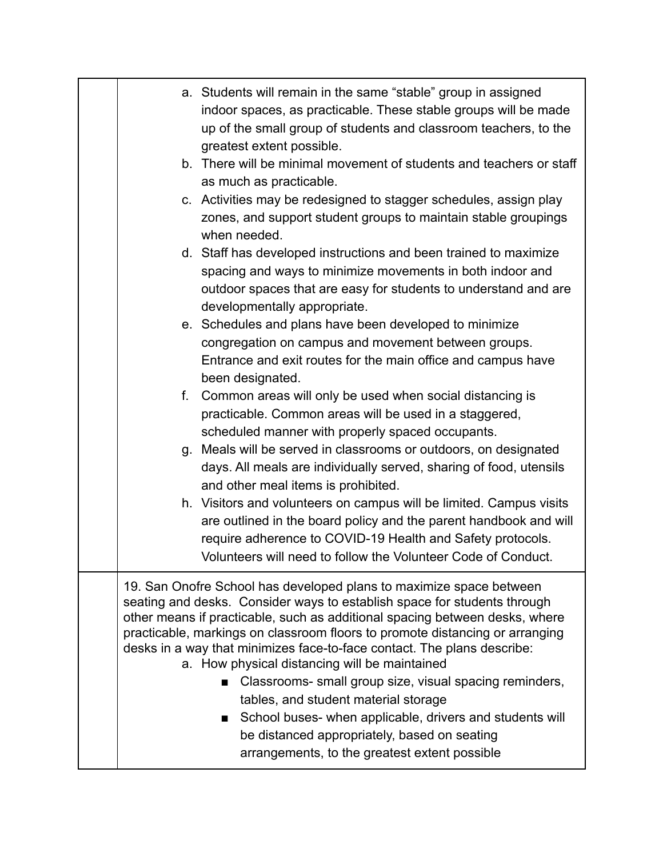| a. Students will remain in the same "stable" group in assigned<br>indoor spaces, as practicable. These stable groups will be made<br>up of the small group of students and classroom teachers, to the<br>greatest extent possible.<br>b. There will be minimal movement of students and teachers or staff<br>as much as practicable.<br>c. Activities may be redesigned to stagger schedules, assign play<br>zones, and support student groups to maintain stable groupings<br>when needed.<br>d. Staff has developed instructions and been trained to maximize<br>spacing and ways to minimize movements in both indoor and<br>outdoor spaces that are easy for students to understand and are<br>developmentally appropriate.<br>e. Schedules and plans have been developed to minimize<br>congregation on campus and movement between groups.<br>Entrance and exit routes for the main office and campus have<br>been designated.<br>Common areas will only be used when social distancing is<br>f.<br>practicable. Common areas will be used in a staggered,<br>scheduled manner with properly spaced occupants.<br>Meals will be served in classrooms or outdoors, on designated<br>g.<br>days. All meals are individually served, sharing of food, utensils<br>and other meal items is prohibited.<br>h. Visitors and volunteers on campus will be limited. Campus visits<br>are outlined in the board policy and the parent handbook and will<br>require adherence to COVID-19 Health and Safety protocols.<br>Volunteers will need to follow the Volunteer Code of Conduct. |
|-------------------------------------------------------------------------------------------------------------------------------------------------------------------------------------------------------------------------------------------------------------------------------------------------------------------------------------------------------------------------------------------------------------------------------------------------------------------------------------------------------------------------------------------------------------------------------------------------------------------------------------------------------------------------------------------------------------------------------------------------------------------------------------------------------------------------------------------------------------------------------------------------------------------------------------------------------------------------------------------------------------------------------------------------------------------------------------------------------------------------------------------------------------------------------------------------------------------------------------------------------------------------------------------------------------------------------------------------------------------------------------------------------------------------------------------------------------------------------------------------------------------------------------------------------------------------------------|
| 19. San Onofre School has developed plans to maximize space between<br>seating and desks. Consider ways to establish space for students through<br>other means if practicable, such as additional spacing between desks, where<br>practicable, markings on classroom floors to promote distancing or arranging<br>desks in a way that minimizes face-to-face contact. The plans describe:<br>a. How physical distancing will be maintained<br>Classrooms- small group size, visual spacing reminders,<br>tables, and student material storage<br>School buses- when applicable, drivers and students will<br>$\mathbf{r}$<br>be distanced appropriately, based on seating<br>arrangements, to the greatest extent possible                                                                                                                                                                                                                                                                                                                                                                                                                                                                                                                                                                                                                                                                                                                                                                                                                                                          |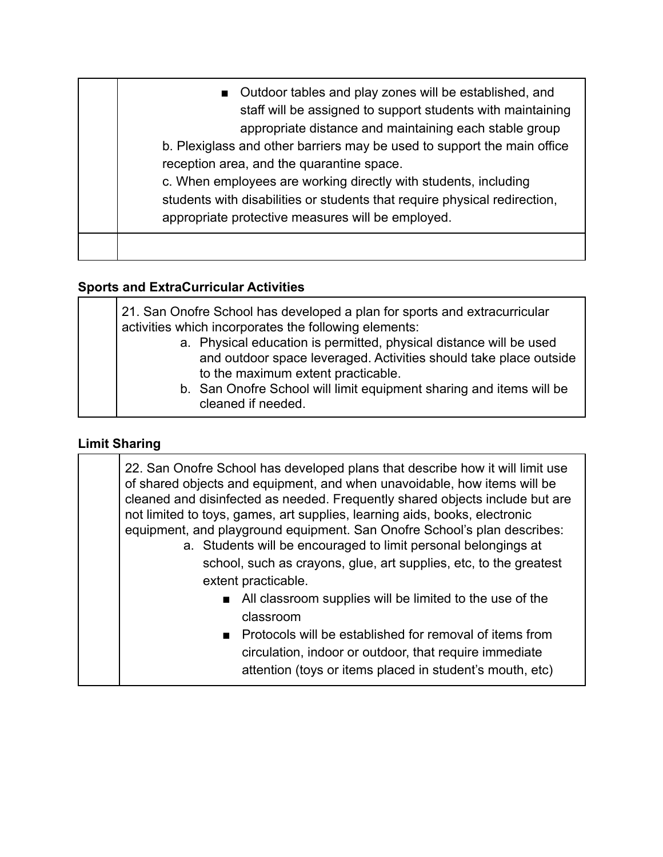| ■ Outdoor tables and play zones will be established, and<br>staff will be assigned to support students with maintaining<br>appropriate distance and maintaining each stable group<br>b. Plexiglass and other barriers may be used to support the main office<br>reception area, and the quarantine space.<br>c. When employees are working directly with students, including<br>students with disabilities or students that require physical redirection,<br>appropriate protective measures will be employed. |
|----------------------------------------------------------------------------------------------------------------------------------------------------------------------------------------------------------------------------------------------------------------------------------------------------------------------------------------------------------------------------------------------------------------------------------------------------------------------------------------------------------------|
|                                                                                                                                                                                                                                                                                                                                                                                                                                                                                                                |

## **Sports and ExtraCurricular Activities**

| 21. San Onofre School has developed a plan for sports and extracurricular                               |  |
|---------------------------------------------------------------------------------------------------------|--|
| activities which incorporates the following elements:                                                   |  |
| a. Physical education is permitted, physical distance will be used                                      |  |
| and outdoor space leveraged. Activities should take place outside<br>to the maximum extent practicable. |  |
| b. San Onofre School will limit equipment sharing and items will be<br>cleaned if needed.               |  |

## **Limit Sharing**

| 22. San Onofre School has developed plans that describe how it will limit use<br>of shared objects and equipment, and when unavoidable, how items will be<br>cleaned and disinfected as needed. Frequently shared objects include but are<br>not limited to toys, games, art supplies, learning aids, books, electronic<br>equipment, and playground equipment. San Onofre School's plan describes:<br>a. Students will be encouraged to limit personal belongings at<br>school, such as crayons, glue, art supplies, etc, to the greatest<br>extent practicable. |
|-------------------------------------------------------------------------------------------------------------------------------------------------------------------------------------------------------------------------------------------------------------------------------------------------------------------------------------------------------------------------------------------------------------------------------------------------------------------------------------------------------------------------------------------------------------------|
| All classroom supplies will be limited to the use of the<br><b>Contract</b><br>classroom<br>Protocols will be established for removal of items from<br>$\blacksquare$<br>circulation, indoor or outdoor, that require immediate<br>attention (toys or items placed in student's mouth, etc)                                                                                                                                                                                                                                                                       |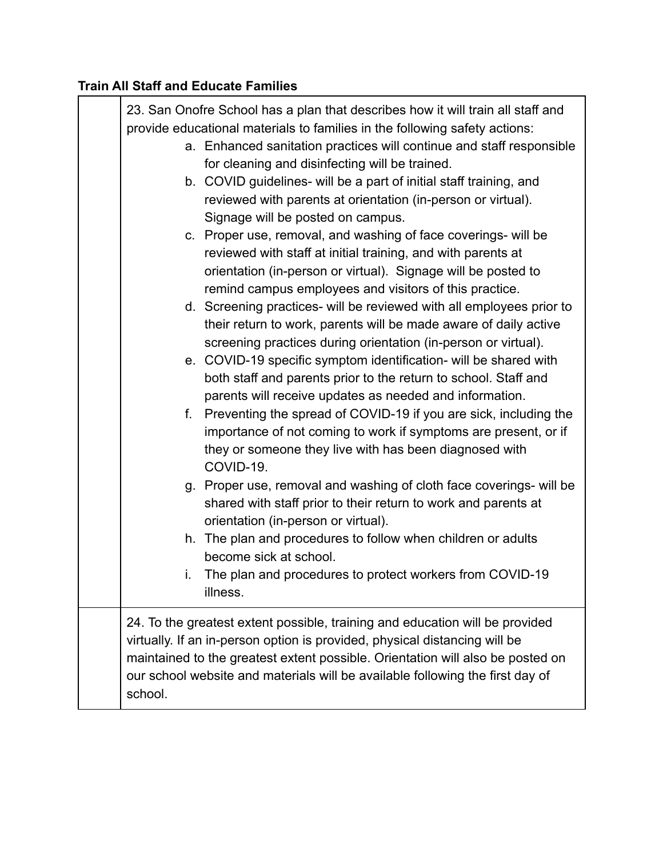## **Train All Staff and Educate Families**

|         | 23. San Onofre School has a plan that describes how it will train all staff and<br>provide educational materials to families in the following safety actions:                                                                                                                                                                 |
|---------|-------------------------------------------------------------------------------------------------------------------------------------------------------------------------------------------------------------------------------------------------------------------------------------------------------------------------------|
|         | a. Enhanced sanitation practices will continue and staff responsible<br>for cleaning and disinfecting will be trained.                                                                                                                                                                                                        |
|         | b. COVID guidelines- will be a part of initial staff training, and<br>reviewed with parents at orientation (in-person or virtual).<br>Signage will be posted on campus.                                                                                                                                                       |
|         | c. Proper use, removal, and washing of face coverings- will be<br>reviewed with staff at initial training, and with parents at<br>orientation (in-person or virtual). Signage will be posted to<br>remind campus employees and visitors of this practice.                                                                     |
|         | d. Screening practices- will be reviewed with all employees prior to<br>their return to work, parents will be made aware of daily active<br>screening practices during orientation (in-person or virtual).                                                                                                                    |
|         | e. COVID-19 specific symptom identification- will be shared with<br>both staff and parents prior to the return to school. Staff and<br>parents will receive updates as needed and information.                                                                                                                                |
|         | f. Preventing the spread of COVID-19 if you are sick, including the<br>importance of not coming to work if symptoms are present, or if<br>they or someone they live with has been diagnosed with<br>COVID-19.                                                                                                                 |
|         | g. Proper use, removal and washing of cloth face coverings- will be<br>shared with staff prior to their return to work and parents at<br>orientation (in-person or virtual).                                                                                                                                                  |
|         | h. The plan and procedures to follow when children or adults<br>become sick at school.                                                                                                                                                                                                                                        |
| i.      | The plan and procedures to protect workers from COVID-19<br>illness.                                                                                                                                                                                                                                                          |
| school. | 24. To the greatest extent possible, training and education will be provided<br>virtually. If an in-person option is provided, physical distancing will be<br>maintained to the greatest extent possible. Orientation will also be posted on<br>our school website and materials will be available following the first day of |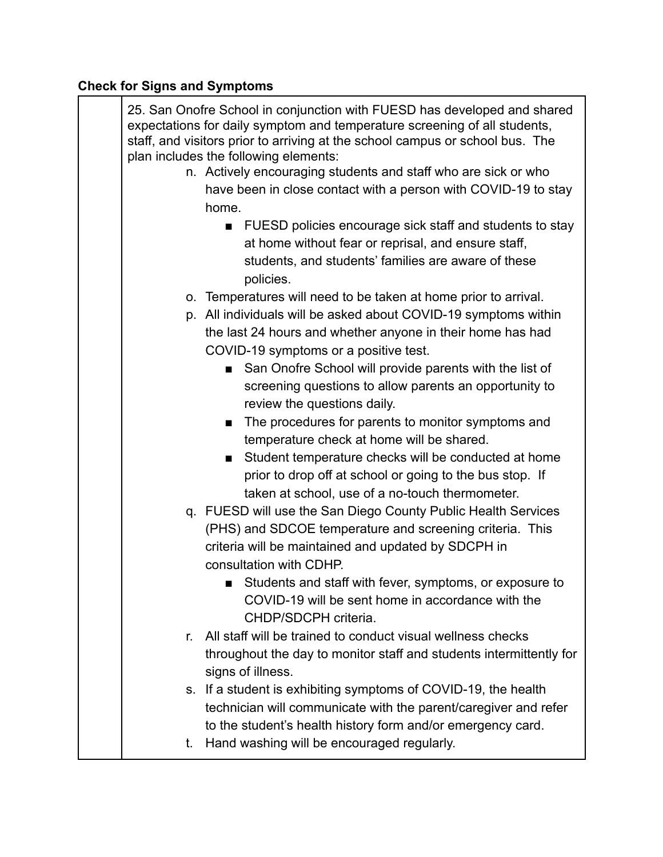# **Check for Signs and Symptoms**

| 25. San Onofre School in conjunction with FUESD has developed and shared<br>expectations for daily symptom and temperature screening of all students,<br>staff, and visitors prior to arriving at the school campus or school bus. The<br>plan includes the following elements: |                                                                                          |  |
|---------------------------------------------------------------------------------------------------------------------------------------------------------------------------------------------------------------------------------------------------------------------------------|------------------------------------------------------------------------------------------|--|
|                                                                                                                                                                                                                                                                                 | n. Actively encouraging students and staff who are sick or who                           |  |
|                                                                                                                                                                                                                                                                                 | have been in close contact with a person with COVID-19 to stay                           |  |
|                                                                                                                                                                                                                                                                                 | home.                                                                                    |  |
|                                                                                                                                                                                                                                                                                 | FUESD policies encourage sick staff and students to stay                                 |  |
|                                                                                                                                                                                                                                                                                 | at home without fear or reprisal, and ensure staff,                                      |  |
|                                                                                                                                                                                                                                                                                 | students, and students' families are aware of these                                      |  |
|                                                                                                                                                                                                                                                                                 | policies.                                                                                |  |
|                                                                                                                                                                                                                                                                                 | o. Temperatures will need to be taken at home prior to arrival.                          |  |
|                                                                                                                                                                                                                                                                                 | p. All individuals will be asked about COVID-19 symptoms within                          |  |
|                                                                                                                                                                                                                                                                                 | the last 24 hours and whether anyone in their home has had                               |  |
|                                                                                                                                                                                                                                                                                 | COVID-19 symptoms or a positive test.                                                    |  |
|                                                                                                                                                                                                                                                                                 | San Onofre School will provide parents with the list of<br>$\blacksquare$                |  |
|                                                                                                                                                                                                                                                                                 | screening questions to allow parents an opportunity to                                   |  |
|                                                                                                                                                                                                                                                                                 | review the questions daily.                                                              |  |
|                                                                                                                                                                                                                                                                                 | The procedures for parents to monitor symptoms and                                       |  |
|                                                                                                                                                                                                                                                                                 | temperature check at home will be shared.                                                |  |
|                                                                                                                                                                                                                                                                                 | Student temperature checks will be conducted at home<br>п                                |  |
|                                                                                                                                                                                                                                                                                 | prior to drop off at school or going to the bus stop. If                                 |  |
|                                                                                                                                                                                                                                                                                 | taken at school, use of a no-touch thermometer.                                          |  |
|                                                                                                                                                                                                                                                                                 |                                                                                          |  |
|                                                                                                                                                                                                                                                                                 | q. FUESD will use the San Diego County Public Health Services                            |  |
|                                                                                                                                                                                                                                                                                 | (PHS) and SDCOE temperature and screening criteria. This                                 |  |
|                                                                                                                                                                                                                                                                                 | criteria will be maintained and updated by SDCPH in                                      |  |
|                                                                                                                                                                                                                                                                                 | consultation with CDHP.                                                                  |  |
|                                                                                                                                                                                                                                                                                 | Students and staff with fever, symptoms, or exposure to                                  |  |
|                                                                                                                                                                                                                                                                                 | COVID-19 will be sent home in accordance with the                                        |  |
|                                                                                                                                                                                                                                                                                 | CHDP/SDCPH criteria.                                                                     |  |
| r.                                                                                                                                                                                                                                                                              | All staff will be trained to conduct visual wellness checks                              |  |
|                                                                                                                                                                                                                                                                                 | throughout the day to monitor staff and students intermittently for<br>signs of illness. |  |
|                                                                                                                                                                                                                                                                                 | s. If a student is exhibiting symptoms of COVID-19, the health                           |  |
|                                                                                                                                                                                                                                                                                 | technician will communicate with the parent/caregiver and refer                          |  |
|                                                                                                                                                                                                                                                                                 | to the student's health history form and/or emergency card.                              |  |
| t.                                                                                                                                                                                                                                                                              | Hand washing will be encouraged regularly.                                               |  |
|                                                                                                                                                                                                                                                                                 |                                                                                          |  |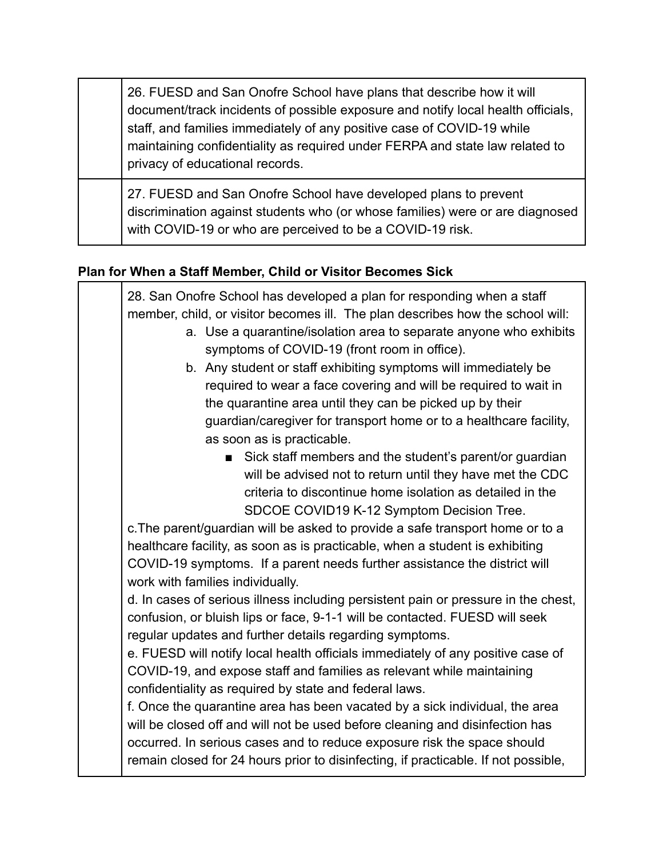26. FUESD and San Onofre School have plans that describe how it will document/track incidents of possible exposure and notify local health officials, staff, and families immediately of any positive case of COVID-19 while maintaining confidentiality as required under FERPA and state law related to privacy of educational records.

27. FUESD and San Onofre School have developed plans to prevent discrimination against students who (or whose families) were or are diagnosed with COVID-19 or who are perceived to be a COVID-19 risk.

### **Plan for When a Staff Member, Child or Visitor Becomes Sick**

| 28. San Onofre School has developed a plan for responding when a staff<br>member, child, or visitor becomes ill. The plan describes how the school will:<br>a. Use a quarantine/isolation area to separate anyone who exhibits<br>symptoms of COVID-19 (front room in office). |
|--------------------------------------------------------------------------------------------------------------------------------------------------------------------------------------------------------------------------------------------------------------------------------|
| b. Any student or staff exhibiting symptoms will immediately be                                                                                                                                                                                                                |
| required to wear a face covering and will be required to wait in                                                                                                                                                                                                               |
| the quarantine area until they can be picked up by their                                                                                                                                                                                                                       |
| guardian/caregiver for transport home or to a healthcare facility,                                                                                                                                                                                                             |
| as soon as is practicable.                                                                                                                                                                                                                                                     |
| Sick staff members and the student's parent/or guardian<br>$\blacksquare$<br>will be advised not to return until they have met the CDC                                                                                                                                         |
| criteria to discontinue home isolation as detailed in the                                                                                                                                                                                                                      |
| SDCOE COVID19 K-12 Symptom Decision Tree.                                                                                                                                                                                                                                      |
| c. The parent/guardian will be asked to provide a safe transport home or to a                                                                                                                                                                                                  |
| healthcare facility, as soon as is practicable, when a student is exhibiting                                                                                                                                                                                                   |
| COVID-19 symptoms. If a parent needs further assistance the district will                                                                                                                                                                                                      |
| work with families individually.                                                                                                                                                                                                                                               |
| d. In cases of serious illness including persistent pain or pressure in the chest,                                                                                                                                                                                             |
| confusion, or bluish lips or face, 9-1-1 will be contacted. FUESD will seek                                                                                                                                                                                                    |
| regular updates and further details regarding symptoms.                                                                                                                                                                                                                        |
| e. FUESD will notify local health officials immediately of any positive case of                                                                                                                                                                                                |
| COVID-19, and expose staff and families as relevant while maintaining                                                                                                                                                                                                          |
| confidentiality as required by state and federal laws.                                                                                                                                                                                                                         |
| f. Once the quarantine area has been vacated by a sick individual, the area                                                                                                                                                                                                    |
| will be closed off and will not be used before cleaning and disinfection has                                                                                                                                                                                                   |
| occurred. In serious cases and to reduce exposure risk the space should                                                                                                                                                                                                        |
| remain closed for 24 hours prior to disinfecting, if practicable. If not possible,                                                                                                                                                                                             |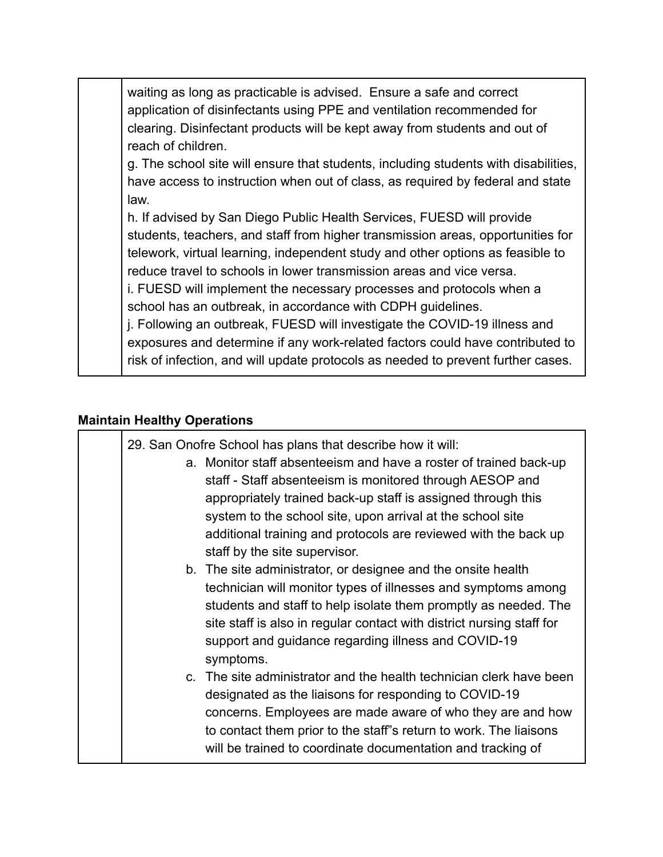waiting as long as practicable is advised. Ensure a safe and correct application of disinfectants using PPE and ventilation recommended for clearing. Disinfectant products will be kept away from students and out of reach of children.

g. The school site will ensure that students, including students with disabilities, have access to instruction when out of class, as required by federal and state law.

h. If advised by San Diego Public Health Services, FUESD will provide students, teachers, and staff from higher transmission areas, opportunities for telework, virtual learning, independent study and other options as feasible to reduce travel to schools in lower transmission areas and vice versa.

i. FUESD will implement the necessary processes and protocols when a school has an outbreak, in accordance with CDPH guidelines.

j. Following an outbreak, FUESD will investigate the COVID-19 illness and exposures and determine if any work-related factors could have contributed to risk of infection, and will update protocols as needed to prevent further cases.

#### **Maintain Healthy Operations**

| 29. San Onofre School has plans that describe how it will:<br>a. Monitor staff absenteeism and have a roster of trained back-up<br>staff - Staff absenteeism is monitored through AESOP and<br>appropriately trained back-up staff is assigned through this<br>system to the school site, upon arrival at the school site<br>additional training and protocols are reviewed with the back up<br>staff by the site supervisor. |  |
|-------------------------------------------------------------------------------------------------------------------------------------------------------------------------------------------------------------------------------------------------------------------------------------------------------------------------------------------------------------------------------------------------------------------------------|--|
| b. The site administrator, or designee and the onsite health<br>technician will monitor types of illnesses and symptoms among<br>students and staff to help isolate them promptly as needed. The<br>site staff is also in regular contact with district nursing staff for<br>support and guidance regarding illness and COVID-19<br>symptoms.                                                                                 |  |
| c. The site administrator and the health technician clerk have been<br>designated as the liaisons for responding to COVID-19<br>concerns. Employees are made aware of who they are and how<br>to contact them prior to the staff"s return to work. The liaisons<br>will be trained to coordinate documentation and tracking of                                                                                                |  |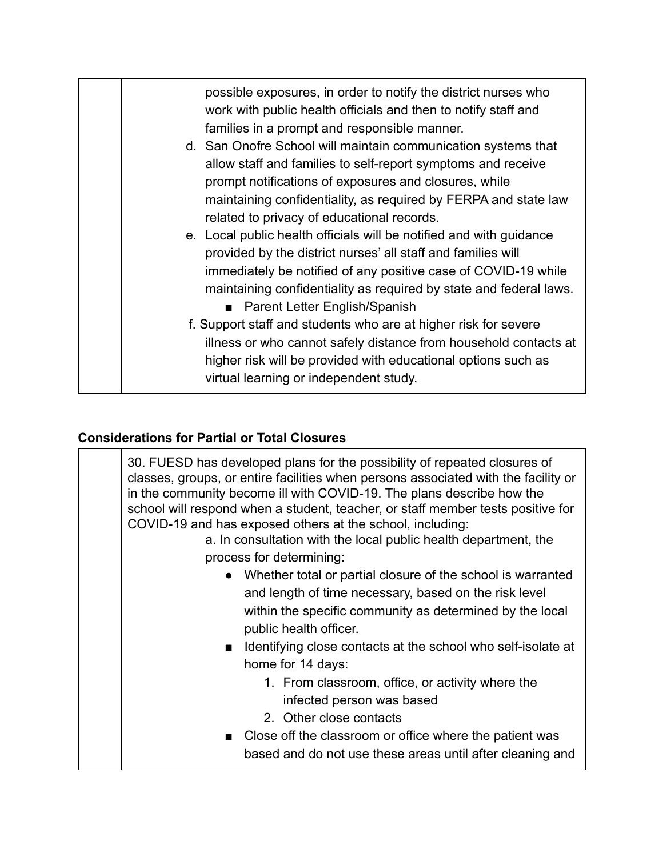| possible exposures, in order to notify the district nurses who<br>work with public health officials and then to notify staff and<br>families in a prompt and responsible manner.                                                                                                                                                                                                                                                                                                                                                                                 |
|------------------------------------------------------------------------------------------------------------------------------------------------------------------------------------------------------------------------------------------------------------------------------------------------------------------------------------------------------------------------------------------------------------------------------------------------------------------------------------------------------------------------------------------------------------------|
| d. San Onofre School will maintain communication systems that<br>allow staff and families to self-report symptoms and receive<br>prompt notifications of exposures and closures, while<br>maintaining confidentiality, as required by FERPA and state law<br>related to privacy of educational records.                                                                                                                                                                                                                                                          |
| e. Local public health officials will be notified and with guidance<br>provided by the district nurses' all staff and families will<br>immediately be notified of any positive case of COVID-19 while<br>maintaining confidentiality as required by state and federal laws.<br>■ Parent Letter English/Spanish<br>f. Support staff and students who are at higher risk for severe<br>illness or who cannot safely distance from household contacts at<br>higher risk will be provided with educational options such as<br>virtual learning or independent study. |

## **Considerations for Partial or Total Closures**

| 30. FUESD has developed plans for the possibility of repeated closures of<br>classes, groups, or entire facilities when persons associated with the facility or<br>in the community become ill with COVID-19. The plans describe how the<br>school will respond when a student, teacher, or staff member tests positive for<br>COVID-19 and has exposed others at the school, including:<br>a. In consultation with the local public health department, the<br>process for determining: |  |
|-----------------------------------------------------------------------------------------------------------------------------------------------------------------------------------------------------------------------------------------------------------------------------------------------------------------------------------------------------------------------------------------------------------------------------------------------------------------------------------------|--|
| • Whether total or partial closure of the school is warranted<br>and length of time necessary, based on the risk level<br>within the specific community as determined by the local<br>public health officer.                                                                                                                                                                                                                                                                            |  |
| Identifying close contacts at the school who self-isolate at<br>$\blacksquare$<br>home for 14 days:<br>1. From classroom, office, or activity where the<br>infected person was based                                                                                                                                                                                                                                                                                                    |  |
| 2. Other close contacts<br>■ Close off the classroom or office where the patient was<br>based and do not use these areas until after cleaning and                                                                                                                                                                                                                                                                                                                                       |  |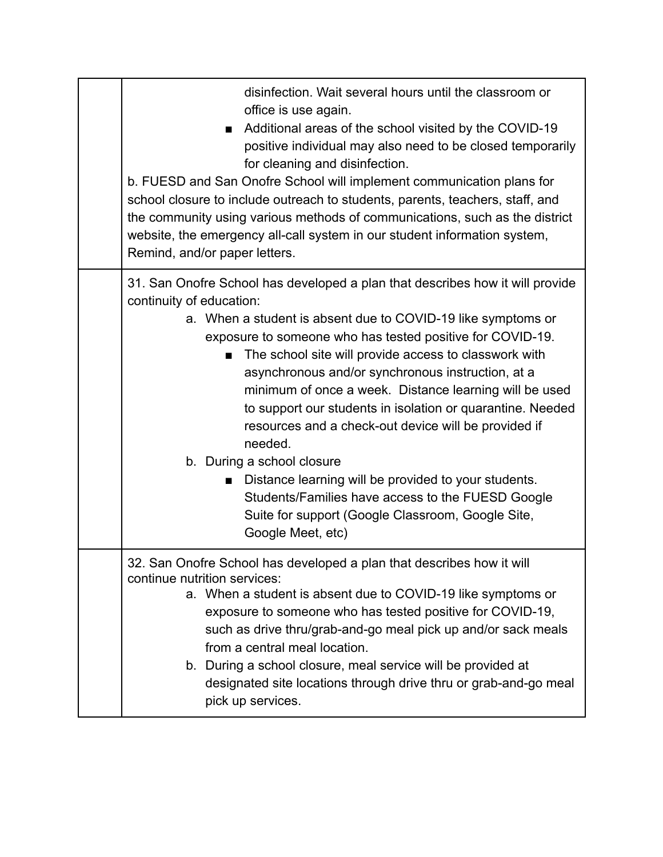| disinfection. Wait several hours until the classroom or<br>office is use again.<br>Additional areas of the school visited by the COVID-19<br>п<br>positive individual may also need to be closed temporarily<br>for cleaning and disinfection.<br>b. FUESD and San Onofre School will implement communication plans for<br>school closure to include outreach to students, parents, teachers, staff, and<br>the community using various methods of communications, such as the district<br>website, the emergency all-call system in our student information system,<br>Remind, and/or paper letters.                                                                                                                                                                          |
|--------------------------------------------------------------------------------------------------------------------------------------------------------------------------------------------------------------------------------------------------------------------------------------------------------------------------------------------------------------------------------------------------------------------------------------------------------------------------------------------------------------------------------------------------------------------------------------------------------------------------------------------------------------------------------------------------------------------------------------------------------------------------------|
| 31. San Onofre School has developed a plan that describes how it will provide<br>continuity of education:<br>a. When a student is absent due to COVID-19 like symptoms or<br>exposure to someone who has tested positive for COVID-19.<br>The school site will provide access to classwork with<br>■<br>asynchronous and/or synchronous instruction, at a<br>minimum of once a week. Distance learning will be used<br>to support our students in isolation or quarantine. Needed<br>resources and a check-out device will be provided if<br>needed.<br>b. During a school closure<br>Distance learning will be provided to your students.<br>■<br>Students/Families have access to the FUESD Google<br>Suite for support (Google Classroom, Google Site,<br>Google Meet, etc) |
| 32. San Onofre School has developed a plan that describes how it will<br>continue nutrition services:<br>a. When a student is absent due to COVID-19 like symptoms or<br>exposure to someone who has tested positive for COVID-19,<br>such as drive thru/grab-and-go meal pick up and/or sack meals<br>from a central meal location.<br>b. During a school closure, meal service will be provided at<br>designated site locations through drive thru or grab-and-go meal<br>pick up services.                                                                                                                                                                                                                                                                                  |